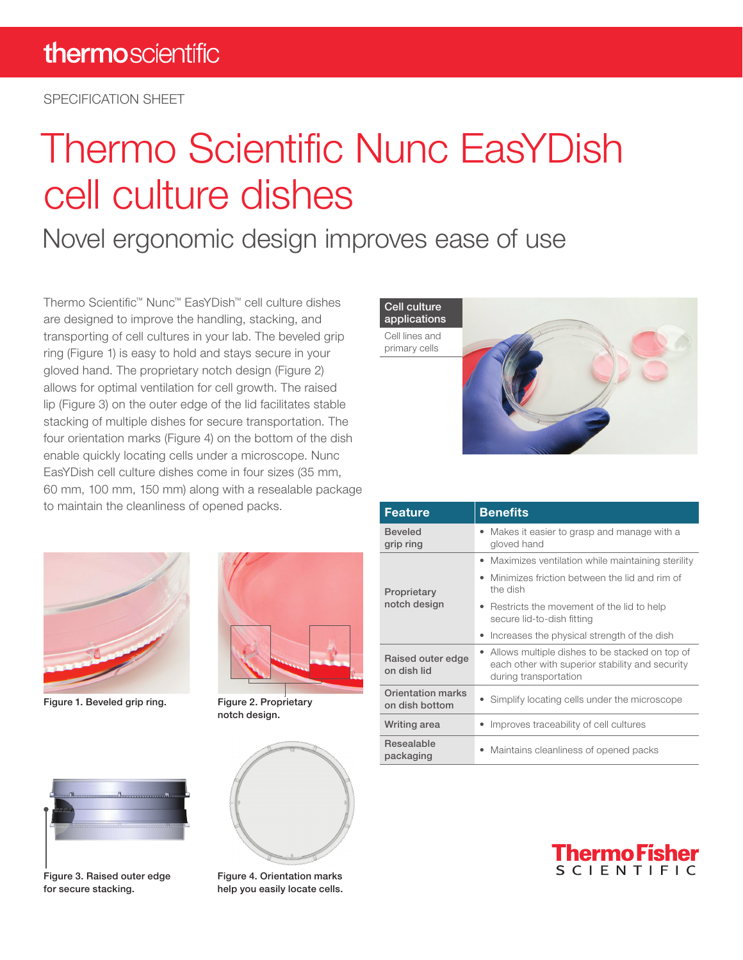SPECIFICATION SHEET

# Thermo Scientific Nunc EasYDish cell culture dishes

### Novel ergonomic design improves ease of use

Thermo Scientific™ Nunc™ EasYDish™ cell culture dishes are designed to improve the handling, stacking, and transporting of cell cultures in your lab. The beveled grip ring (Figure 1) is easy to hold and stays secure in your gloved hand. The proprietary notch design (Figure 2) allows for optimal ventilation for cell growth. The raised lip (Figure 3) on the outer edge of the lid facilitates stable stacking of multiple dishes for secure transportation. The four orientation marks (Figure 4) on the bottom of the dish enable quickly locating cells under a microscope. Nunc EasYDish cell culture dishes come in four sizes (35 mm, 60 mm, 100 mm, 150 mm) along with a resealable package to maintain the cleanliness of opened packs.



Figure 1. Beveled grip ring. Figure 2. Proprietary



notch design.



| <b>Feature</b>                      | <b>Benefits</b>                                                                                                              |  |
|-------------------------------------|------------------------------------------------------------------------------------------------------------------------------|--|
| <b>Beveled</b><br>grip ring         | Makes it easier to grasp and manage with a<br>gloved hand                                                                    |  |
| Proprietary<br>notch design         | • Maximizes ventilation while maintaining sterility                                                                          |  |
|                                     | Minimizes friction between the lid and rim of<br>٠<br>the dish                                                               |  |
|                                     | • Restricts the movement of the lid to help<br>secure lid-to-dish fitting                                                    |  |
|                                     | Increases the physical strength of the dish<br>٠                                                                             |  |
| Raised outer edge<br>on dish lid    | • Allows multiple dishes to be stacked on top of<br>each other with superior stability and security<br>during transportation |  |
| Orientation marks<br>on dish bottom | • Simplify locating cells under the microscope                                                                               |  |
| Writing area                        | Improves traceability of cell cultures                                                                                       |  |
| Resealable<br>packaging             | Maintains cleanliness of opened packs<br>$\bullet$                                                                           |  |



Figure 3. Raised outer edge for secure stacking.



Figure 4. Orientation marks help you easily locate cells.